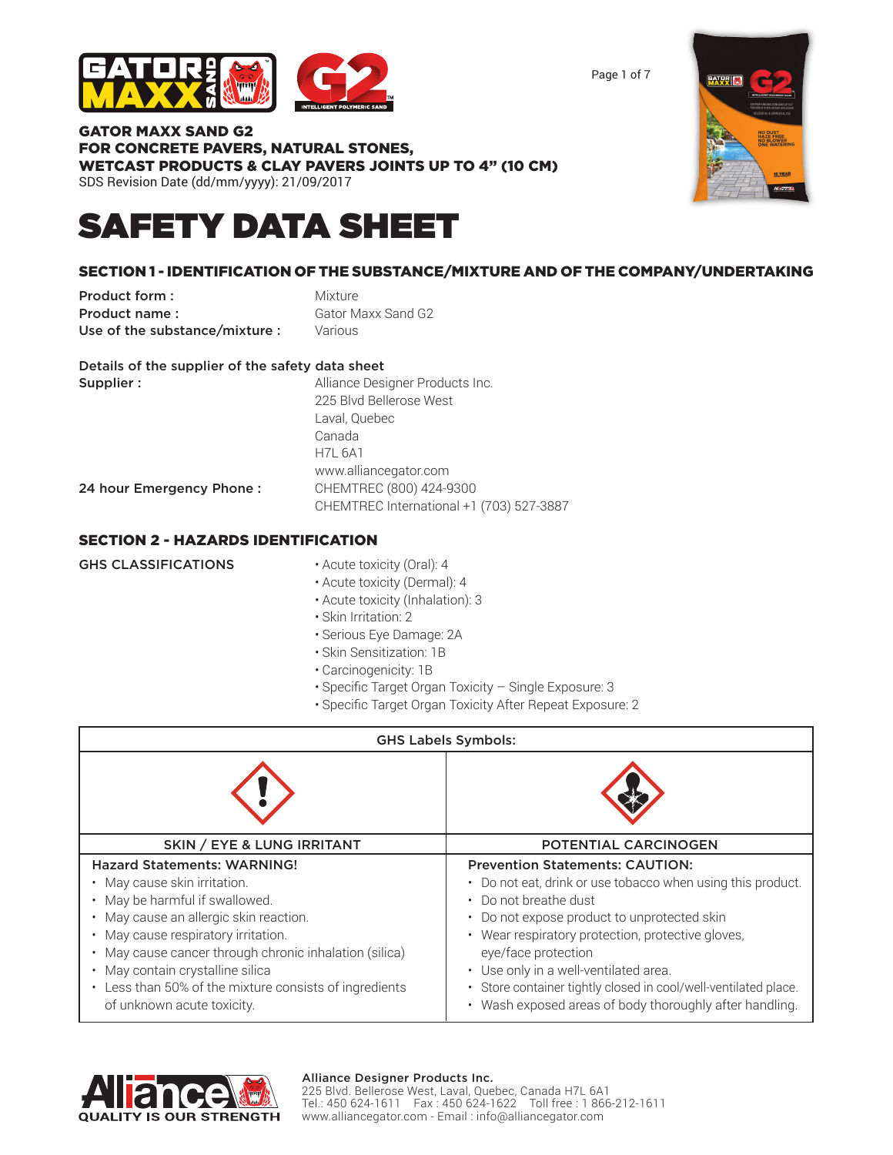



GATOR MAXX SAND G2 FOR CONCRETE PAVERS, NATURAL STONES, WETCAST PRODUCTS & CLAY PAVERS JOINTS UP TO 4" (10 CM) SDS Revision Date (dd/mm/yyyy): 21/09/2017



# SECTION 1 - IDENTIFICATION OF THE SUBSTANCE/MIXTURE AND OF THE COMPANY/UNDERTAKING

**Product form :** Mixture **Product name:** Gator Maxx Sand G2 Use of the substance/mixture : Various

# Details of the supplier of the safety data sheet

| Supplier:                | Alliance Designer Products Inc.          |
|--------------------------|------------------------------------------|
|                          | 225 Blvd Bellerose West                  |
|                          | Laval, Quebec                            |
|                          | Canada                                   |
|                          | <b>H7L 6A1</b>                           |
|                          | www.alliancegator.com                    |
| 24 hour Emergency Phone: | CHEMTREC (800) 424-9300                  |
|                          | CHEMTREC International +1 (703) 527-3887 |

## SECTION 2 - HAZARDS IDENTIFICATION

| <b>GHS CLASSIFICATIONS</b> | • Acute toxicity (Oral): 4       |
|----------------------------|----------------------------------|
|                            | • Acute toxicity (Dermal): 4     |
|                            | • Acute toxicity (Inhalation): 3 |
|                            | • Skin Irritation: 2             |

- Serious Eye Damage: 2A
- Skin Sensitization: 1B
- Carcinogenicity: 1B
- Specific Target Organ Toxicity Single Exposure: 3
- Specific Target Organ Toxicity After Repeat Exposure: 2

| <b>GHS Labels Symbols:</b>                                                                                                                                                                                                            |                                                                                                                                                                                                                                                           |  |
|---------------------------------------------------------------------------------------------------------------------------------------------------------------------------------------------------------------------------------------|-----------------------------------------------------------------------------------------------------------------------------------------------------------------------------------------------------------------------------------------------------------|--|
|                                                                                                                                                                                                                                       |                                                                                                                                                                                                                                                           |  |
| <b>SKIN / EYE &amp; LUNG IRRITANT</b>                                                                                                                                                                                                 | <b>POTENTIAL CARCINOGEN</b>                                                                                                                                                                                                                               |  |
| <b>Hazard Statements: WARNING!</b><br>May cause skin irritation.<br>May be harmful if swallowed.<br>May cause an allergic skin reaction.<br>May cause respiratory irritation.<br>May cause cancer through chronic inhalation (silica) | <b>Prevention Statements: CAUTION:</b><br>• Do not eat, drink or use tobacco when using this product.<br>• Do not breathe dust<br>• Do not expose product to unprotected skin<br>• Wear respiratory protection, protective gloves,<br>eye/face protection |  |
| May contain crystalline silica<br>• Less than 50% of the mixture consists of ingredients<br>of unknown acute toxicity.                                                                                                                | • Use only in a well-ventilated area.<br>· Store container tightly closed in cool/well-ventilated place.<br>• Wash exposed areas of body thoroughly after handling.                                                                                       |  |



#### Alliance Designer Products Inc.

225 Blvd. Bellerose West, Laval, Quebec, Canada H7L 6A1 Tel.: 450 624-1611 Fax : 450 624-1622 Toll free : 1 866-212-1611 www.alliancegator.com - Email : info@alliancegator.com

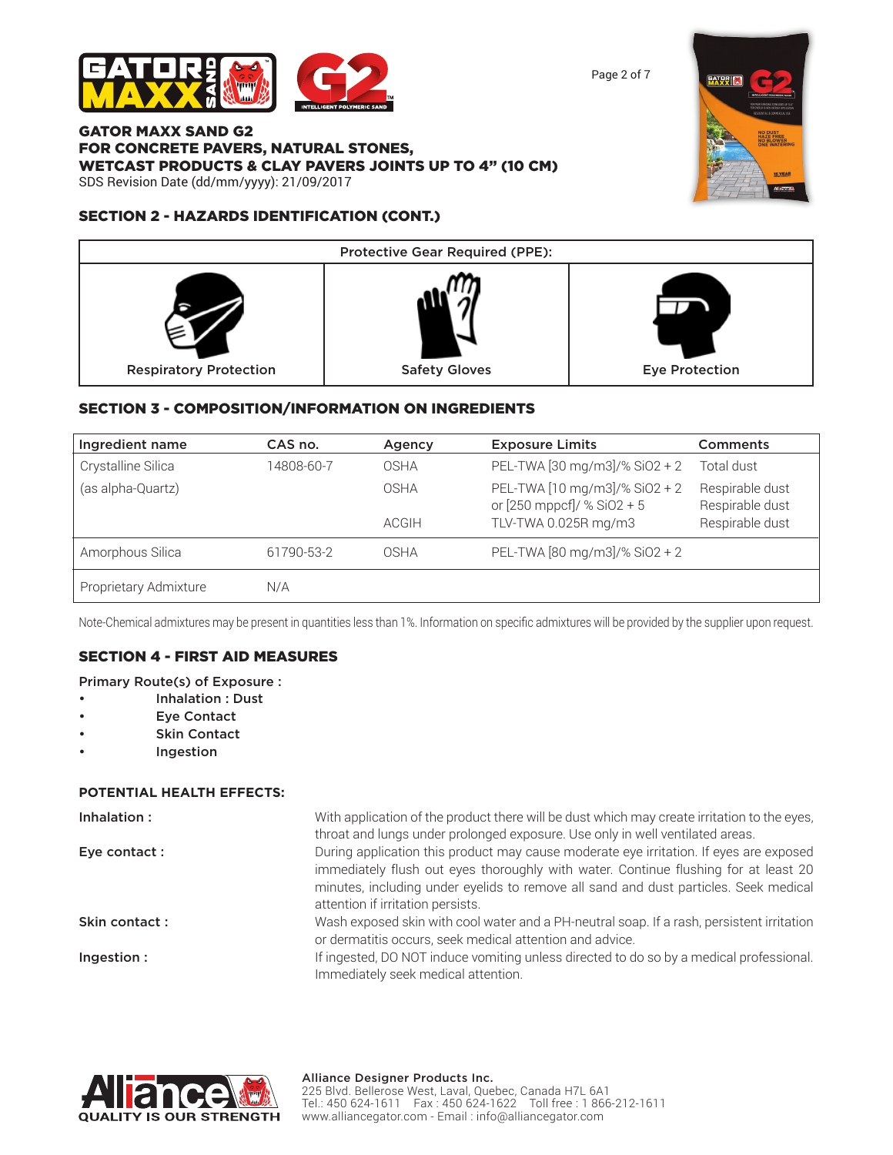

Page 2 of 7

#### GATOR MAXX SAND G2 FOR CONCRETE PAVERS, NATURAL STONES, WETCAST PRODUCTS & CLAY PAVERS JOINTS UP TO 4" (10 CM) SDS Revision Date (dd/mm/yyyy): 21/09/2017

# SECTION 2 - HAZARDS IDENTIFICATION (CONT.)





# SECTION 3 - COMPOSITION/INFORMATION ON INGREDIENTS

| Ingredient name       | CAS no.    | Agency       | <b>Exposure Limits</b>                                      | <b>Comments</b>                    |
|-----------------------|------------|--------------|-------------------------------------------------------------|------------------------------------|
| Crystalline Silica    | 14808-60-7 | OSHA         | PEL-TWA [30 mg/m3]/% SiO2 + 2                               | Total dust                         |
| (as alpha-Quartz)     |            | OSHA         | PEL-TWA [10 mg/m3]/% SiO2 + 2<br>or [250 mppcf]/ % SiO2 + 5 | Respirable dust<br>Respirable dust |
|                       |            | <b>ACGIH</b> | TLV-TWA 0.025R mg/m3                                        | Respirable dust                    |
| Amorphous Silica      | 61790-53-2 | OSHA         | PEL-TWA [80 mg/m3]/% SiO2 + 2                               |                                    |
| Proprietary Admixture | N/A        |              |                                                             |                                    |

Note-Chemical admixtures may be present in quantities less than 1%. Information on specific admixtures will be provided by the supplier upon request.

## SECTION 4 - FIRST AID MEASURES

#### Primary Route(s) of Exposure :

- Inhalation : Dust
- **Eye Contact**
- Skin Contact
- Ingestion

#### **POTENTIAL HEALTH EFFECTS:**

| Inhalation:   | With application of the product there will be dust which may create irritation to the eyes,<br>throat and lungs under prolonged exposure. Use only in well ventilated areas.                                                                                                                               |
|---------------|------------------------------------------------------------------------------------------------------------------------------------------------------------------------------------------------------------------------------------------------------------------------------------------------------------|
| Eye contact : | During application this product may cause moderate eye irritation. If eyes are exposed<br>immediately flush out eyes thoroughly with water. Continue flushing for at least 20<br>minutes, including under eyelids to remove all sand and dust particles. Seek medical<br>attention if irritation persists. |
| Skin contact: | Wash exposed skin with cool water and a PH-neutral soap. If a rash, persistent irritation<br>or dermatitis occurs, seek medical attention and advice.                                                                                                                                                      |
| Ingestion:    | If ingested, DO NOT induce vomiting unless directed to do so by a medical professional.<br>Immediately seek medical attention.                                                                                                                                                                             |

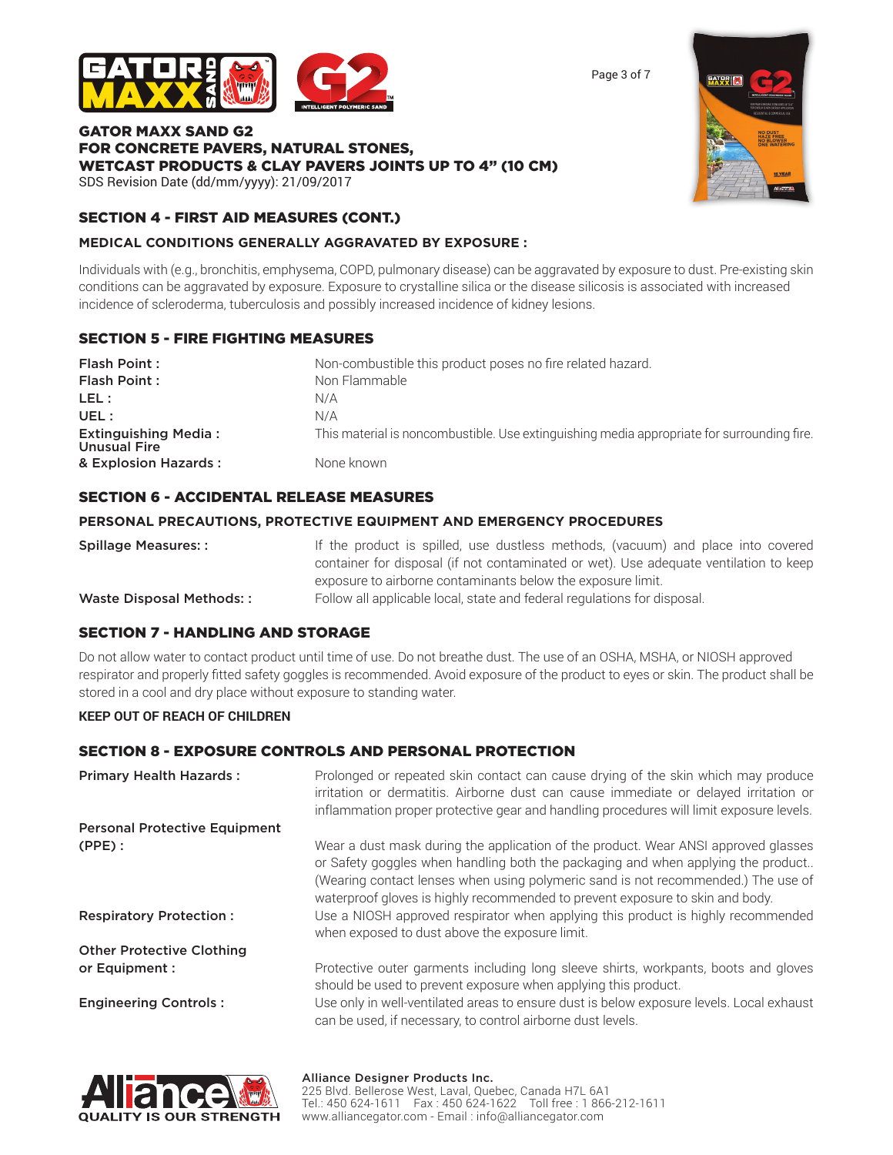

# GATOR MAXX SAND G2 FOR CONCRETE PAVERS, NATURAL STONES, WETCAST PRODUCTS & CLAY PAVERS JOINTS UP TO 4" (10 CM)

SDS Revision Date (dd/mm/yyyy): 21/09/2017

## SECTION 4 - FIRST AID MEASURES (CONT.)

#### **MEDICAL CONDITIONS GENERALLY AGGRAVATED BY EXPOSURE :**

Individuals with (e.g., bronchitis, emphysema, COPD, pulmonary disease) can be aggravated by exposure to dust. Pre-existing skin conditions can be aggravated by exposure. Exposure to crystalline silica or the disease silicosis is associated with increased incidence of scleroderma, tuberculosis and possibly increased incidence of kidney lesions.

## SECTION 5 - FIRE FIGHTING MEASURES

| Flash Point:                                       | Non-combustible this product poses no fire related hazard.                                 |
|----------------------------------------------------|--------------------------------------------------------------------------------------------|
| Flash Point:                                       | Non Flammable                                                                              |
| LEL :                                              | N/A                                                                                        |
| UEL :                                              | N/A                                                                                        |
| <b>Extinguishing Media:</b><br><b>Unusual Fire</b> | This material is noncombustible. Use extinguishing media appropriate for surrounding fire. |
| & Explosion Hazards:                               | None known                                                                                 |

#### SECTION 6 - ACCIDENTAL RELEASE MEASURES

#### **PERSONAL PRECAUTIONS, PROTECTIVE EQUIPMENT AND EMERGENCY PROCEDURES**

| <b>Spillage Measures::</b> | If the product is spilled, use dustless methods, (vacuum) and place into covered      |
|----------------------------|---------------------------------------------------------------------------------------|
|                            | container for disposal (if not contaminated or wet). Use adequate ventilation to keep |
|                            | exposure to airborne contaminants below the exposure limit.                           |
| Waste Disposal Methods::   | Follow all applicable local, state and federal regulations for disposal.              |

#### SECTION 7 - HANDLING AND STORAGE

Do not allow water to contact product until time of use. Do not breathe dust. The use of an OSHA, MSHA, or NIOSH approved respirator and properly fitted safety goggles is recommended. Avoid exposure of the product to eyes or skin. The product shall be stored in a cool and dry place without exposure to standing water.

#### **KEEP OUT OF REACH OF CHILDREN**

## SECTION 8 - EXPOSURE CONTROLS AND PERSONAL PROTECTION

| <b>Primary Health Hazards:</b>              | Prolonged or repeated skin contact can cause drying of the skin which may produce<br>irritation or dermatitis. Airborne dust can cause immediate or delayed irritation or<br>inflammation proper protective gear and handling procedures will limit exposure levels.                                                                                                                                                                                                               |
|---------------------------------------------|------------------------------------------------------------------------------------------------------------------------------------------------------------------------------------------------------------------------------------------------------------------------------------------------------------------------------------------------------------------------------------------------------------------------------------------------------------------------------------|
| <b>Personal Protective Equipment</b>        |                                                                                                                                                                                                                                                                                                                                                                                                                                                                                    |
| $(PPE)$ :<br><b>Respiratory Protection:</b> | Wear a dust mask during the application of the product. Wear ANSI approved glasses<br>or Safety goggles when handling both the packaging and when applying the product<br>(Wearing contact lenses when using polymeric sand is not recommended.) The use of<br>waterproof gloves is highly recommended to prevent exposure to skin and body.<br>Use a NIOSH approved respirator when applying this product is highly recommended<br>when exposed to dust above the exposure limit. |
| <b>Other Protective Clothing</b>            |                                                                                                                                                                                                                                                                                                                                                                                                                                                                                    |
| or Equipment :                              | Protective outer garments including long sleeve shirts, workpants, boots and gloves                                                                                                                                                                                                                                                                                                                                                                                                |
|                                             | should be used to prevent exposure when applying this product.                                                                                                                                                                                                                                                                                                                                                                                                                     |
| <b>Engineering Controls:</b>                | Use only in well-ventilated areas to ensure dust is below exposure levels. Local exhaust<br>can be used, if necessary, to control airborne dust levels.                                                                                                                                                                                                                                                                                                                            |

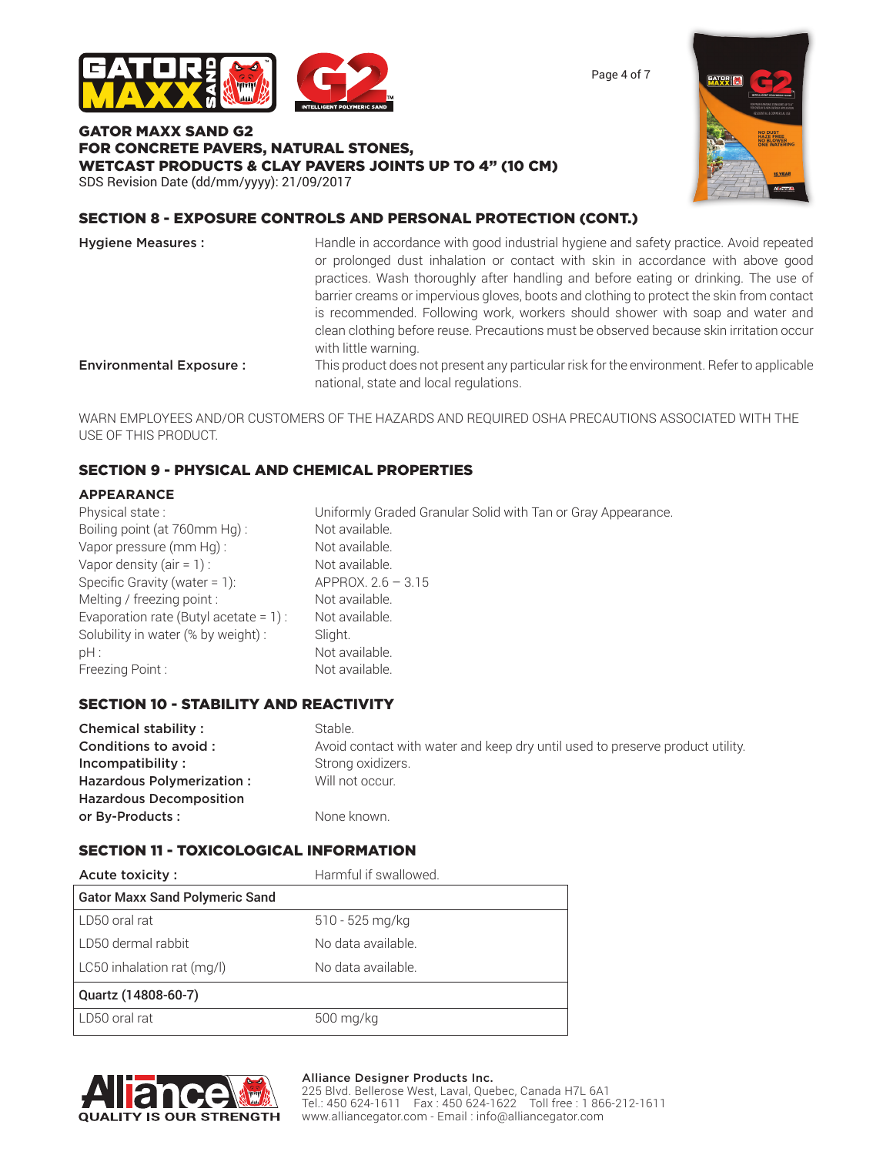

Page 4 of 7

# GATOR MAXX SAND G2 FOR CONCRETE PAVERS, NATURAL STONES, WETCAST PRODUCTS & CLAY PAVERS JOINTS UP TO 4" (10 CM)

SDS Revision Date (dd/mm/yyyy): 21/09/2017



# SECTION 8 - EXPOSURE CONTROLS AND PERSONAL PROTECTION (CONT.)

| <b>Hygiene Measures:</b>       | Handle in accordance with good industrial hygiene and safety practice. Avoid repeated                           |
|--------------------------------|-----------------------------------------------------------------------------------------------------------------|
|                                | or prolonged dust inhalation or contact with skin in accordance with above good                                 |
|                                | practices. Wash thoroughly after handling and before eating or drinking. The use of                             |
|                                | barrier creams or impervious gloves, boots and clothing to protect the skin from contact                        |
|                                | is recommended. Following work, workers should shower with soap and water and                                   |
|                                | clean clothing before reuse. Precautions must be observed because skin irritation occur<br>with little warning. |
| <b>Environmental Exposure:</b> | This product does not present any particular risk for the environment. Refer to applicable                      |
|                                | national, state and local regulations.                                                                          |

WARN EMPLOYEES AND/OR CUSTOMERS OF THE HAZARDS AND REQUIRED OSHA PRECAUTIONS ASSOCIATED WITH THE USE OF THIS PRODUCT.

## SECTION 9 - PHYSICAL AND CHEMICAL PROPERTIES

### **APPEARANCE**

| Physical state:                           | Uniformly Graded Granular Solid with Tan or Gray Appearance. |
|-------------------------------------------|--------------------------------------------------------------|
| Boiling point (at 760mm Hg):              | Not available.                                               |
| Vapor pressure (mm Hq):                   | Not available.                                               |
| Vapor density $(air = 1)$ :               | Not available.                                               |
| Specific Gravity (water = $1$ ):          | $APPROX. 2.6 - 3.15$                                         |
| Melting / freezing point :                | Not available.                                               |
| Evaporation rate (Butyl acetate = $1$ ) : | Not available.                                               |
| Solubility in water (% by weight) :       | Slight.                                                      |
| $pH$ :                                    | Not available.                                               |
| Freezing Point:                           | Not available.                                               |

## SECTION 10 - STABILITY AND REACTIVITY

| Chemical stability:            | Stable.                                                                       |
|--------------------------------|-------------------------------------------------------------------------------|
| Conditions to avoid :          | Avoid contact with water and keep dry until used to preserve product utility. |
| Incompatibility:               | Strong oxidizers.                                                             |
| Hazardous Polymerization:      | Will not occur.                                                               |
| <b>Hazardous Decomposition</b> |                                                                               |
| or By-Products:                | None known.                                                                   |

## SECTION 11 - TOXICOLOGICAL INFORMATION

| Acute toxicity:                       | Harmful if swallowed. |  |
|---------------------------------------|-----------------------|--|
| <b>Gator Maxx Sand Polymeric Sand</b> |                       |  |
| LD50 oral rat                         | 510 - 525 mg/kg       |  |
| LD50 dermal rabbit                    | No data available.    |  |
| LC50 inhalation rat (mg/l)            | No data available.    |  |
| Quartz (14808-60-7)                   |                       |  |
| LD50 oral rat                         | 500 mg/kg             |  |



#### Alliance Designer Products Inc.

225 Blvd. Bellerose West, Laval, Quebec, Canada H7L 6A1 Tel.: 450 624-1611 Fax : 450 624-1622 Toll free : 1 866-212-1611 www.alliancegator.com - Email : info@alliancegator.com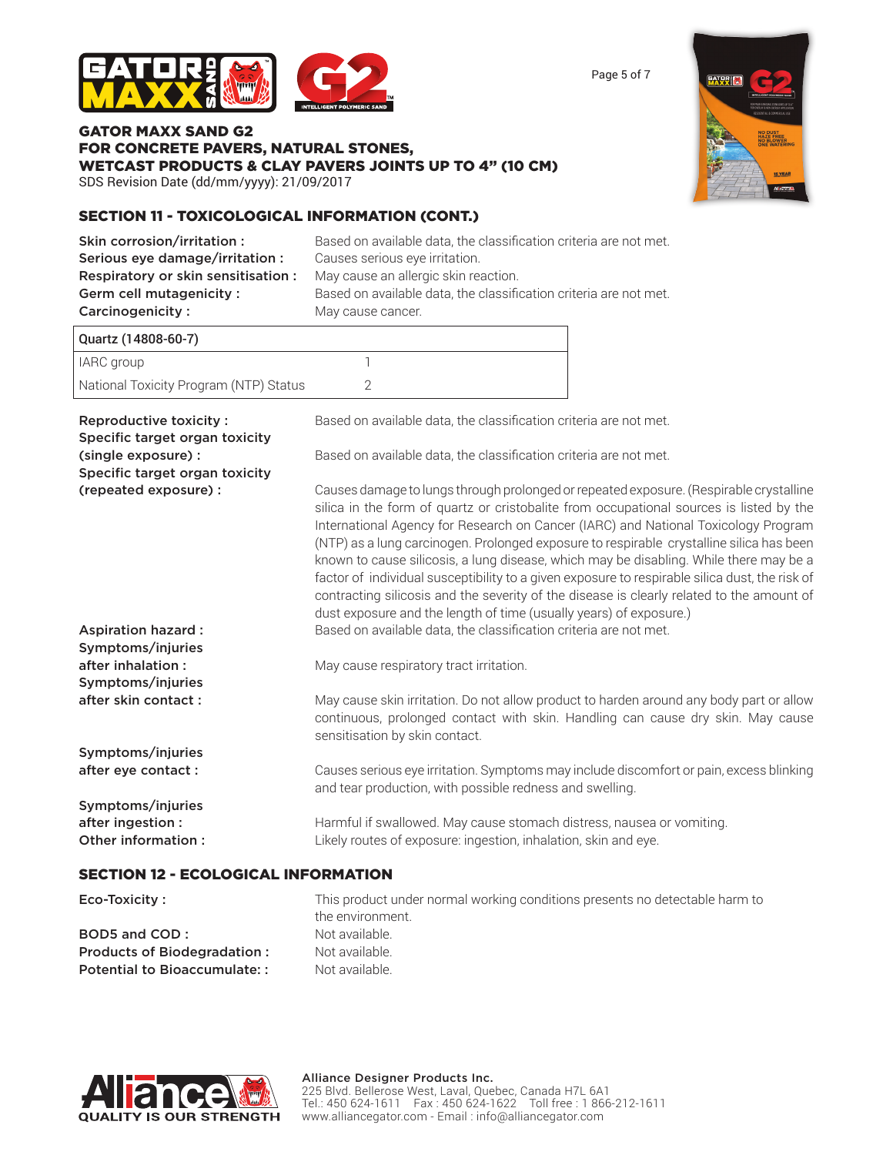



GATOR MAXX SAND G2 FOR CONCRETE PAVERS, NATURAL STONES, WETCAST PRODUCTS & CLAY PAVERS JOINTS UP TO 4" (10 CM) SDS Revision Date (dd/mm/yyyy): 21/09/2017

SECTION 11 - TOXICOLOGICAL INFORMATION (CONT.)

| Skin corrosion/irritation:<br>Serious eye damage/irritation :<br>Respiratory or skin sensitisation:<br>Germ cell mutagenicity :<br>Carcinogenicity: | Based on available data, the classification criteria are not met.<br>Causes serious eye irritation.<br>May cause an allergic skin reaction.<br>Based on available data, the classification criteria are not met.<br>May cause cancer.                                                                                                                                                                                                                                                                                                                                                                                                                                                                                              |  |
|-----------------------------------------------------------------------------------------------------------------------------------------------------|------------------------------------------------------------------------------------------------------------------------------------------------------------------------------------------------------------------------------------------------------------------------------------------------------------------------------------------------------------------------------------------------------------------------------------------------------------------------------------------------------------------------------------------------------------------------------------------------------------------------------------------------------------------------------------------------------------------------------------|--|
| Quartz (14808-60-7)                                                                                                                                 |                                                                                                                                                                                                                                                                                                                                                                                                                                                                                                                                                                                                                                                                                                                                    |  |
| IARC group                                                                                                                                          | $\mathbb{1}$                                                                                                                                                                                                                                                                                                                                                                                                                                                                                                                                                                                                                                                                                                                       |  |
| National Toxicity Program (NTP) Status                                                                                                              | $\overline{2}$                                                                                                                                                                                                                                                                                                                                                                                                                                                                                                                                                                                                                                                                                                                     |  |
| Reproductive toxicity :<br>Specific target organ toxicity<br>(single exposure) :<br>Specific target organ toxicity                                  | Based on available data, the classification criteria are not met.<br>Based on available data, the classification criteria are not met.                                                                                                                                                                                                                                                                                                                                                                                                                                                                                                                                                                                             |  |
| (repeated exposure) :                                                                                                                               | Causes damage to lungs through prolonged or repeated exposure. (Respirable crystalline<br>silica in the form of quartz or cristobalite from occupational sources is listed by the<br>International Agency for Research on Cancer (IARC) and National Toxicology Program<br>(NTP) as a lung carcinogen. Prolonged exposure to respirable crystalline silica has been<br>known to cause silicosis, a lung disease, which may be disabling. While there may be a<br>factor of individual susceptibility to a given exposure to respirable silica dust, the risk of<br>contracting silicosis and the severity of the disease is clearly related to the amount of<br>dust exposure and the length of time (usually years) of exposure.) |  |
| <b>Aspiration hazard:</b><br>Symptoms/injuries<br>after inhalation:                                                                                 | Based on available data, the classification criteria are not met.<br>May cause respiratory tract irritation.                                                                                                                                                                                                                                                                                                                                                                                                                                                                                                                                                                                                                       |  |
| Symptoms/injuries<br>after skin contact:                                                                                                            | May cause skin irritation. Do not allow product to harden around any body part or allow<br>continuous, prolonged contact with skin. Handling can cause dry skin. May cause<br>sensitisation by skin contact.                                                                                                                                                                                                                                                                                                                                                                                                                                                                                                                       |  |
| Symptoms/injuries<br>after eye contact :                                                                                                            | Causes serious eye irritation. Symptoms may include discomfort or pain, excess blinking<br>and tear production, with possible redness and swelling.                                                                                                                                                                                                                                                                                                                                                                                                                                                                                                                                                                                |  |
| Symptoms/injuries<br>after ingestion :<br>Other information :                                                                                       | Harmful if swallowed. May cause stomach distress, nausea or vomiting.<br>Likely routes of exposure: ingestion, inhalation, skin and eye.                                                                                                                                                                                                                                                                                                                                                                                                                                                                                                                                                                                           |  |

## SECTION 12 - ECOLOGICAL INFORMATION

**Eco-Toxicity :** This product under normal working conditions presents no detectable harm to the environment. BOD5 and COD: Not available. Products of Biodegradation : Not available. Potential to Bioaccumulate: : Not available.



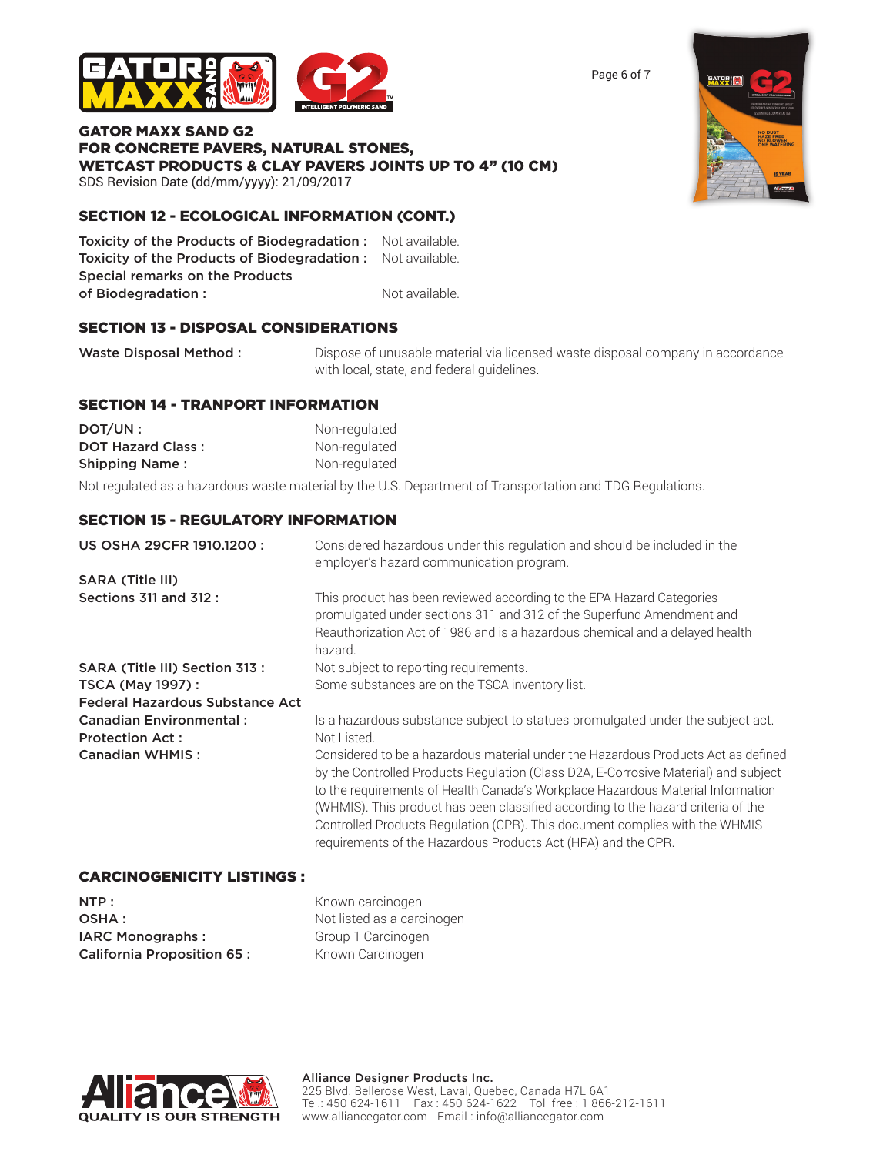

GATOR MAXX SAND G2 FOR CONCRETE PAVERS, NATURAL STONES, WETCAST PRODUCTS & CLAY PAVERS JOINTS UP TO 4" (10 CM)

SDS Revision Date (dd/mm/yyyy): 21/09/2017

## SECTION 12 - ECOLOGICAL INFORMATION (CONT.)

Toxicity of the Products of Biodegradation : Not available. Toxicity of the Products of Biodegradation : Not available. Special remarks on the Products of Biodegradation : Not available.

## SECTION 13 - DISPOSAL CONSIDERATIONS

Waste Disposal Method : Dispose of unusable material via licensed waste disposal company in accordance with local, state, and federal guidelines.

## SECTION 14 - TRANPORT INFORMATION

| DOT/UN:                  | Non-regulated |
|--------------------------|---------------|
| <b>DOT Hazard Class:</b> | Non-regulated |
| <b>Shipping Name:</b>    | Non-regulated |

Not regulated as a hazardous waste material by the U.S. Department of Transportation and TDG Regulations.

## SECTION 15 - REGULATORY INFORMATION

| US OSHA 29CFR 1910.1200 :       | Considered hazardous under this regulation and should be included in the<br>employer's hazard communication program.                                                                                                                                                                                                                                                                                                                                                                             |  |
|---------------------------------|--------------------------------------------------------------------------------------------------------------------------------------------------------------------------------------------------------------------------------------------------------------------------------------------------------------------------------------------------------------------------------------------------------------------------------------------------------------------------------------------------|--|
| <b>SARA (Title III)</b>         |                                                                                                                                                                                                                                                                                                                                                                                                                                                                                                  |  |
| <b>Sections 311 and 312:</b>    | This product has been reviewed according to the EPA Hazard Categories<br>promulgated under sections 311 and 312 of the Superfund Amendment and<br>Reauthorization Act of 1986 and is a hazardous chemical and a delayed health<br>hazard.                                                                                                                                                                                                                                                        |  |
| SARA (Title III) Section 313 :  | Not subject to reporting requirements.                                                                                                                                                                                                                                                                                                                                                                                                                                                           |  |
| <b>TSCA (May 1997):</b>         | Some substances are on the TSCA inventory list.                                                                                                                                                                                                                                                                                                                                                                                                                                                  |  |
| Federal Hazardous Substance Act |                                                                                                                                                                                                                                                                                                                                                                                                                                                                                                  |  |
| <b>Canadian Environmental:</b>  | Is a hazardous substance subject to statues promulgated under the subject act.                                                                                                                                                                                                                                                                                                                                                                                                                   |  |
| <b>Protection Act:</b>          | Not Listed.                                                                                                                                                                                                                                                                                                                                                                                                                                                                                      |  |
| <b>Canadian WHMIS:</b>          | Considered to be a hazardous material under the Hazardous Products Act as defined<br>by the Controlled Products Regulation (Class D2A, E-Corrosive Material) and subject<br>to the requirements of Health Canada's Workplace Hazardous Material Information<br>(WHMIS). This product has been classified according to the hazard criteria of the<br>Controlled Products Regulation (CPR). This document complies with the WHMIS<br>requirements of the Hazardous Products Act (HPA) and the CPR. |  |

#### CARCINOGENICITY LISTINGS :

NTP : Known carcinogen **OSHA :** Not listed as a carcinogen IARC Monographs : Group 1 Carcinogen California Proposition 65: Known Carcinogen





Page 6 of 7